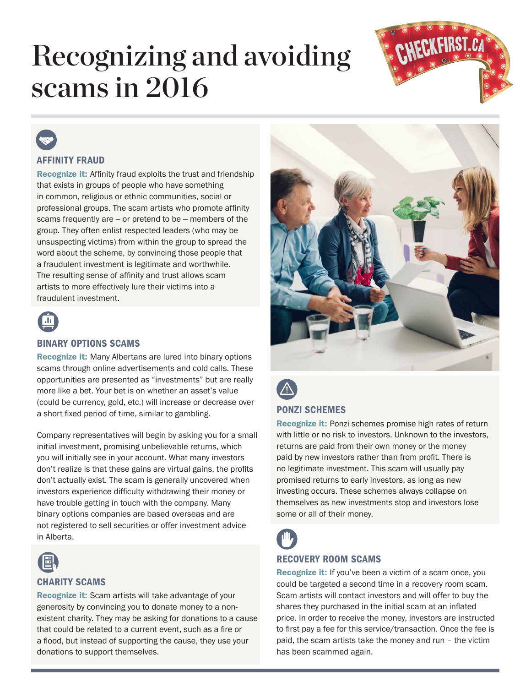# Recognizing and avoiding scams in 2016



### AFFINITY FRAUD

Recognize it: Affinity fraud exploits the trust and friendship that exists in groups of people who have something in common, religious or ethnic communities, social or professional groups. The scam artists who promote affinity scams frequently are — or pretend to be — members of the group. They often enlist respected leaders (who may be unsuspecting victims) from within the group to spread the word about the scheme, by convincing those people that a fraudulent investment is legitimate and worthwhile. The resulting sense of affinity and trust allows scam artists to more effectively lure their victims into a fraudulent investment.



### BINARY OPTIONS SCAMS

Recognize it: Many Albertans are lured into binary options scams through online advertisements and cold calls. These opportunities are presented as "investments" but are really more like a bet. Your bet is on whether an asset's value (could be currency, gold, etc.) will increase or decrease over a short fixed period of time, similar to gambling.

Company representatives will begin by asking you for a small initial investment, promising unbelievable returns, which you will initially see in your account. What many investors don't realize is that these gains are virtual gains, the profits don't actually exist. The scam is generally uncovered when investors experience difficulty withdrawing their money or have trouble getting in touch with the company. Many binary options companies are based overseas and are not registered to sell securities or offer investment advice in Alberta.



### CHARITY SCAMS

Recognize it: Scam artists will take advantage of your generosity by convincing you to donate money to a nonexistent charity. They may be asking for donations to a cause that could be related to a current event, such as a fire or a flood, but instead of supporting the cause, they use your donations to support themselves.





### PONZI SCHEMES

Recognize it: Ponzi schemes promise high rates of return with little or no risk to investors. Unknown to the investors, returns are paid from their own money or the money paid by new investors rather than from profit. There is no legitimate investment. This scam will usually pay promised returns to early investors, as long as new investing occurs. These schemes always collapse on themselves as new investments stop and investors lose some or all of their money.



### RECOVERY ROOM SCAMS

Recognize it: If you've been a victim of a scam once, you could be targeted a second time in a recovery room scam. Scam artists will contact investors and will offer to buy the shares they purchased in the initial scam at an inflated price. In order to receive the money, investors are instructed to first pay a fee for this service/transaction. Once the fee is paid, the scam artists take the money and run – the victim has been scammed again.